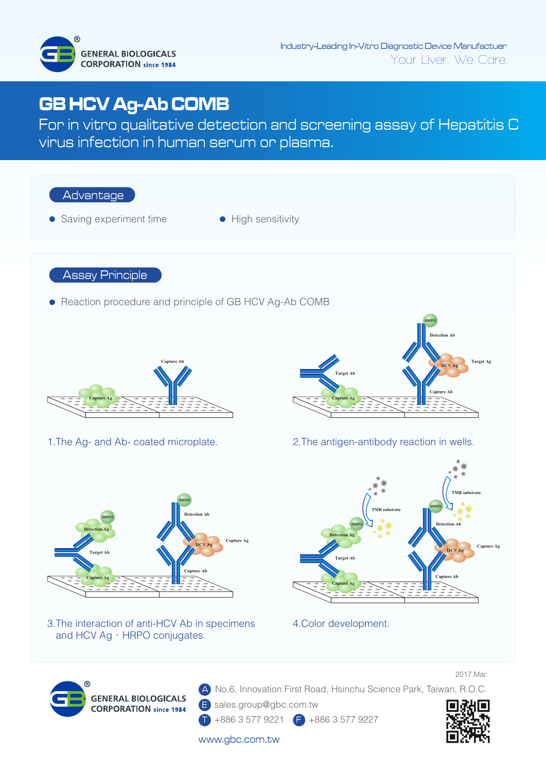

## **GB HCV Ag-Ab COMB**

For in vitro qualitative detection and screening assay of Hepatitis C virus infection in human serum or plasma.